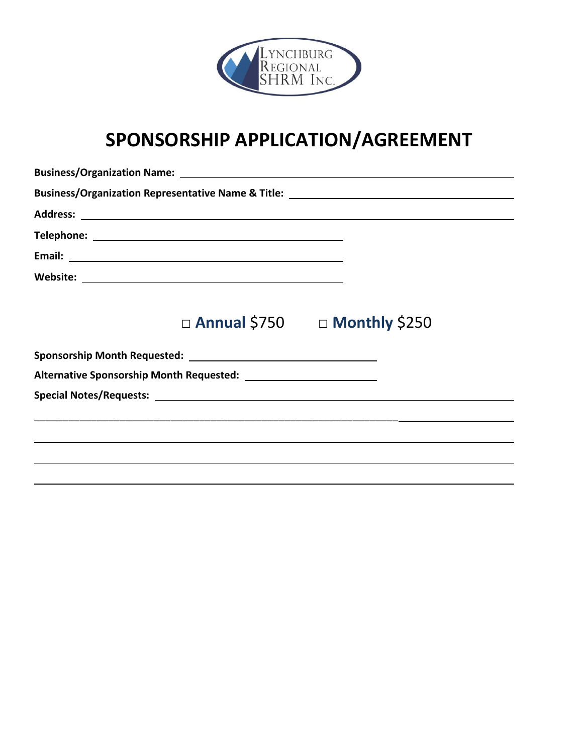

# **SPONSORSHIP APPLICATION/AGREEMENT**

|  | Business/Organization Representative Name & Title: _____________________________                                     |
|--|----------------------------------------------------------------------------------------------------------------------|
|  |                                                                                                                      |
|  |                                                                                                                      |
|  |                                                                                                                      |
|  |                                                                                                                      |
|  |                                                                                                                      |
|  | $\Box$ Annual \$750 $\Box$ Monthly \$250                                                                             |
|  |                                                                                                                      |
|  |                                                                                                                      |
|  |                                                                                                                      |
|  | <u> 1989 - Jan James James James James James James James James James James James James James James James James J</u> |
|  |                                                                                                                      |
|  |                                                                                                                      |
|  |                                                                                                                      |